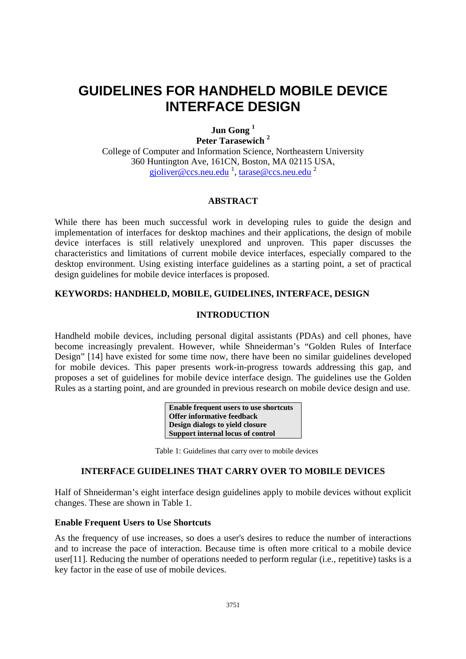# **GUIDELINES FOR HANDHELD MOBILE DEVICE INTERFACE DESIGN**

**Jun Gong 1**

**Peter Tarasewich 2**

College of Computer and Information Science, Northeastern University 360 Huntington Ave, 161CN, Boston, MA 02115 USA, gjoliver@ccs.neu.edu <sup>1</sup>, tarase@ccs.neu.edu <sup>2</sup>

# **ABSTRACT**

While there has been much successful work in developing rules to guide the design and implementation of interfaces for desktop machines and their applications, the design of mobile device interfaces is still relatively unexplored and unproven. This paper discusses the characteristics and limitations of current mobile device interfaces, especially compared to the desktop environment. Using existing interface guidelines as a starting point, a set of practical design guidelines for mobile device interfaces is proposed.

# **KEYWORDS: HANDHELD, MOBILE, GUIDELINES, INTERFACE, DESIGN**

# **INTRODUCTION**

Handheld mobile devices, including personal digital assistants (PDAs) and cell phones, have become increasingly prevalent. However, while Shneiderman's "Golden Rules of Interface Design" [14] have existed for some time now, there have been no similar guidelines developed for mobile devices. This paper presents work-in-progress towards addressing this gap, and proposes a set of guidelines for mobile device interface design. The guidelines use the Golden Rules as a starting point, and are grounded in previous research on mobile device design and use.

| Enable frequent users to use shortcuts |
|----------------------------------------|
| <b>Offer informative feedback</b>      |
| Design dialogs to yield closure        |
| Support internal locus of control      |

Table 1: Guidelines that carry over to mobile devices

# **INTERFACE GUIDELINES THAT CARRY OVER TO MOBILE DEVICES**

Half of Shneiderman's eight interface design guidelines apply to mobile devices without explicit changes. These are shown in Table 1.

#### **Enable Frequent Users to Use Shortcuts**

As the frequency of use increases, so does a user's desires to reduce the number of interactions and to increase the pace of interaction. Because time is often more critical to a mobile device user[11]. Reducing the number of operations needed to perform regular (i.e., repetitive) tasks is a key factor in the ease of use of mobile devices.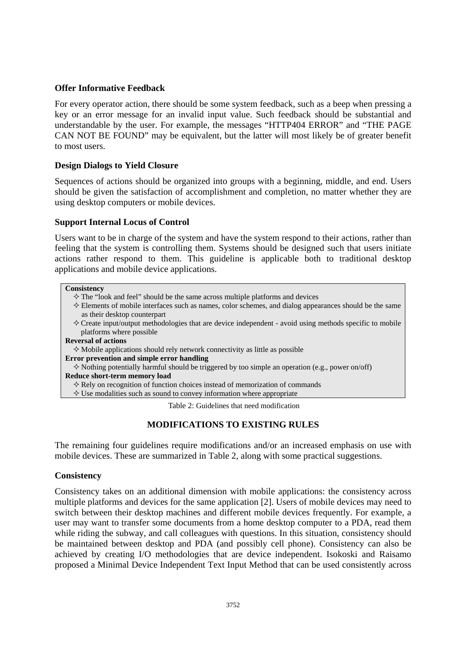## **Offer Informative Feedback**

For every operator action, there should be some system feedback, such as a beep when pressing a key or an error message for an invalid input value. Such feedback should be substantial and understandable by the user. For example, the messages "HTTP404 ERROR" and "THE PAGE CAN NOT BE FOUND" may be equivalent, but the latter will most likely be of greater benefit to most users.

#### **Design Dialogs to Yield Closure**

Sequences of actions should be organized into groups with a beginning, middle, and end. Users should be given the satisfaction of accomplishment and completion, no matter whether they are using desktop computers or mobile devices.

## **Support Internal Locus of Control**

Users want to be in charge of the system and have the system respond to their actions, rather than feeling that the system is controlling them. Systems should be designed such that users initiate actions rather respond to them. This guideline is applicable both to traditional desktop applications and mobile device applications.

#### **Consistency**

- $\Diamond$  The "look and feel" should be the same across multiple platforms and devices
- $\diamond$  Elements of mobile interfaces such as names, color schemes, and dialog appearances should be the same as their desktop counterpart
- $\Diamond$  Create input/output methodologies that are device independent avoid using methods specific to mobile platforms where possible

#### **Reversal of actions**

 $\diamond$  Mobile applications should rely network connectivity as little as possible

**Error prevention and simple error handling** 

 $\Diamond$  Nothing potentially harmful should be triggered by too simple an operation (e.g., power on/off) **Reduce short-term memory load** 

 $\diamondsuit$  Rely on recognition of function choices instead of memorization of commands

 $\diamond$  Use modalities such as sound to convey information where appropriate

Table 2: Guidelines that need modification

# **MODIFICATIONS TO EXISTING RULES**

The remaining four guidelines require modifications and/or an increased emphasis on use with mobile devices. These are summarized in Table 2, along with some practical suggestions.

#### **Consistency**

Consistency takes on an additional dimension with mobile applications: the consistency across multiple platforms and devices for the same application [2]. Users of mobile devices may need to switch between their desktop machines and different mobile devices frequently. For example, a user may want to transfer some documents from a home desktop computer to a PDA, read them while riding the subway, and call colleagues with questions. In this situation, consistency should be maintained between desktop and PDA (and possibly cell phone). Consistency can also be achieved by creating I/O methodologies that are device independent. Isokoski and Raisamo proposed a Minimal Device Independent Text Input Method that can be used consistently across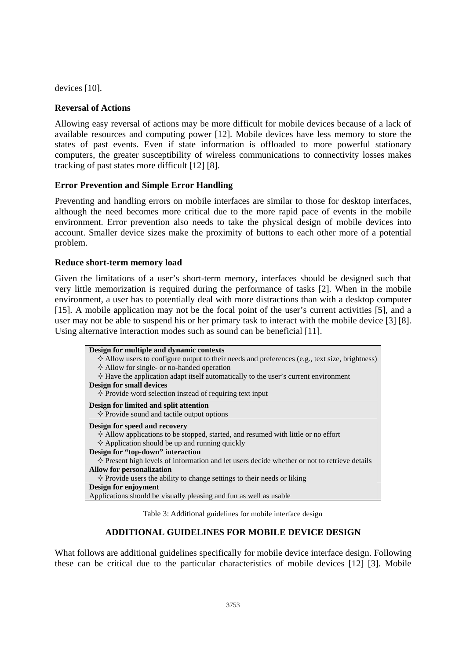devices [10].

#### **Reversal of Actions**

Allowing easy reversal of actions may be more difficult for mobile devices because of a lack of available resources and computing power [12]. Mobile devices have less memory to store the states of past events. Even if state information is offloaded to more powerful stationary computers, the greater susceptibility of wireless communications to connectivity losses makes tracking of past states more difficult [12] [8].

## **Error Prevention and Simple Error Handling**

Preventing and handling errors on mobile interfaces are similar to those for desktop interfaces, although the need becomes more critical due to the more rapid pace of events in the mobile environment. Error prevention also needs to take the physical design of mobile devices into account. Smaller device sizes make the proximity of buttons to each other more of a potential problem.

## **Reduce short-term memory load**

Given the limitations of a user's short-term memory, interfaces should be designed such that very little memorization is required during the performance of tasks [2]. When in the mobile environment, a user has to potentially deal with more distractions than with a desktop computer [15]. A mobile application may not be the focal point of the user's current activities [5], and a user may not be able to suspend his or her primary task to interact with the mobile device [3] [8]. Using alternative interaction modes such as sound can be beneficial [11].

| Design for multiple and dynamic contexts                                                                |
|---------------------------------------------------------------------------------------------------------|
| $\diamond$ Allow users to configure output to their needs and preferences (e.g., text size, brightness) |
| $\Diamond$ Allow for single- or no-handed operation                                                     |
| $\diamond$ Have the application adapt itself automatically to the user's current environment            |
| <b>Design for small devices</b>                                                                         |
| $\Diamond$ Provide word selection instead of requiring text input                                       |
| Design for limited and split attention                                                                  |
| $\diamond$ Provide sound and tactile output options                                                     |
| Design for speed and recovery                                                                           |
| $\Diamond$ Allow applications to be stopped, started, and resumed with little or no effort              |
| $\Diamond$ Application should be up and running quickly                                                 |
| Design for "top-down" interaction                                                                       |
| $\diamond$ Present high levels of information and let users decide whether or not to retrieve details   |
| <b>Allow for personalization</b>                                                                        |
| $\Diamond$ Provide users the ability to change settings to their needs or liking                        |
| Design for enjoyment                                                                                    |
| Applications should be visually pleasing and fun as well as usable                                      |

Table 3: Additional guidelines for mobile interface design

# **ADDITIONAL GUIDELINES FOR MOBILE DEVICE DESIGN**

What follows are additional guidelines specifically for mobile device interface design. Following these can be critical due to the particular characteristics of mobile devices [12] [3]. Mobile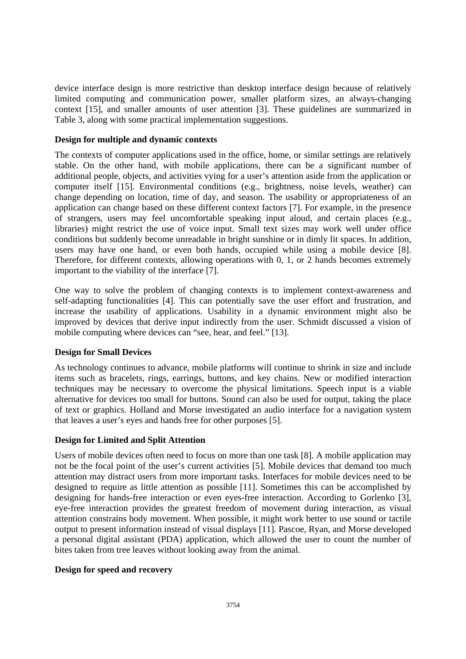device interface design is more restrictive than desktop interface design because of relatively limited computing and communication power, smaller platform sizes, an always-changing context [15], and smaller amounts of user attention [3]. These guidelines are summarized in Table 3, along with some practical implementation suggestions.

#### **Design for multiple and dynamic contexts**

The contexts of computer applications used in the office, home, or similar settings are relatively stable. On the other hand, with mobile applications, there can be a significant number of additional people, objects, and activities vying for a user's attention aside from the application or computer itself [15]. Environmental conditions (e.g., brightness, noise levels, weather) can change depending on location, time of day, and season. The usability or appropriateness of an application can change based on these different context factors [7]. For example, in the presence of strangers, users may feel uncomfortable speaking input aloud, and certain places (e.g., libraries) might restrict the use of voice input. Small text sizes may work well under office conditions but suddenly become unreadable in bright sunshine or in dimly lit spaces. In addition, users may have one hand, or even both hands, occupied while using a mobile device [8]. Therefore, for different contexts, allowing operations with 0, 1, or 2 hands becomes extremely important to the viability of the interface [7].

One way to solve the problem of changing contexts is to implement context-awareness and self-adapting functionalities [4]. This can potentially save the user effort and frustration, and increase the usability of applications. Usability in a dynamic environment might also be improved by devices that derive input indirectly from the user. Schmidt discussed a vision of mobile computing where devices can "see, hear, and feel." [13].

# **Design for Small Devices**

As technology continues to advance, mobile platforms will continue to shrink in size and include items such as bracelets, rings, earrings, buttons, and key chains. New or modified interaction techniques may be necessary to overcome the physical limitations. Speech input is a viable alternative for devices too small for buttons. Sound can also be used for output, taking the place of text or graphics. Holland and Morse investigated an audio interface for a navigation system that leaves a user's eyes and hands free for other purposes [5].

#### **Design for Limited and Split Attention**

Users of mobile devices often need to focus on more than one task [8]. A mobile application may not be the focal point of the user's current activities [5]. Mobile devices that demand too much attention may distract users from more important tasks. Interfaces for mobile devices need to be designed to require as little attention as possible [11]. Sometimes this can be accomplished by designing for hands-free interaction or even eyes-free interaction. According to Gorlenko [3], eye-free interaction provides the greatest freedom of movement during interaction, as visual attention constrains body movement. When possible, it might work better to use sound or tactile output to present information instead of visual displays [11]. Pascoe, Ryan, and Morse developed a personal digital assistant (PDA) application, which allowed the user to count the number of bites taken from tree leaves without looking away from the animal.

## **Design for speed and recovery**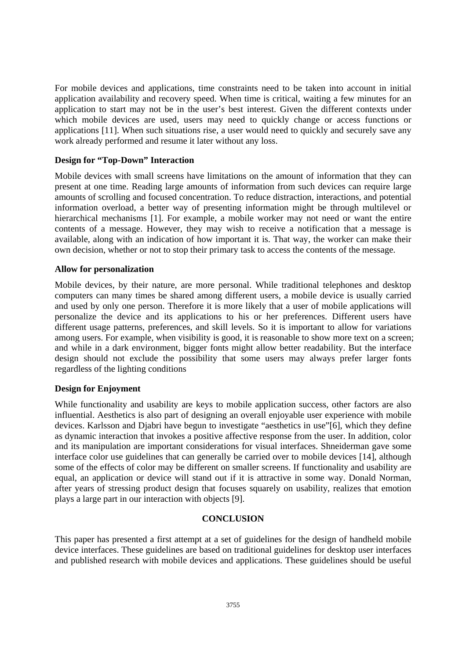For mobile devices and applications, time constraints need to be taken into account in initial application availability and recovery speed. When time is critical, waiting a few minutes for an application to start may not be in the user's best interest. Given the different contexts under which mobile devices are used, users may need to quickly change or access functions or applications [11]. When such situations rise, a user would need to quickly and securely save any work already performed and resume it later without any loss.

#### **Design for "Top-Down" Interaction**

Mobile devices with small screens have limitations on the amount of information that they can present at one time. Reading large amounts of information from such devices can require large amounts of scrolling and focused concentration. To reduce distraction, interactions, and potential information overload, a better way of presenting information might be through multilevel or hierarchical mechanisms [1]. For example, a mobile worker may not need or want the entire contents of a message. However, they may wish to receive a notification that a message is available, along with an indication of how important it is. That way, the worker can make their own decision, whether or not to stop their primary task to access the contents of the message.

#### **Allow for personalization**

Mobile devices, by their nature, are more personal. While traditional telephones and desktop computers can many times be shared among different users, a mobile device is usually carried and used by only one person. Therefore it is more likely that a user of mobile applications will personalize the device and its applications to his or her preferences. Different users have different usage patterns, preferences, and skill levels. So it is important to allow for variations among users. For example, when visibility is good, it is reasonable to show more text on a screen; and while in a dark environment, bigger fonts might allow better readability. But the interface design should not exclude the possibility that some users may always prefer larger fonts regardless of the lighting conditions

# **Design for Enjoyment**

While functionality and usability are keys to mobile application success, other factors are also influential. Aesthetics is also part of designing an overall enjoyable user experience with mobile devices. Karlsson and Djabri have begun to investigate "aesthetics in use"[6], which they define as dynamic interaction that invokes a positive affective response from the user. In addition, color and its manipulation are important considerations for visual interfaces. Shneiderman gave some interface color use guidelines that can generally be carried over to mobile devices [14], although some of the effects of color may be different on smaller screens. If functionality and usability are equal, an application or device will stand out if it is attractive in some way. Donald Norman, after years of stressing product design that focuses squarely on usability, realizes that emotion plays a large part in our interaction with objects [9].

# **CONCLUSION**

This paper has presented a first attempt at a set of guidelines for the design of handheld mobile device interfaces. These guidelines are based on traditional guidelines for desktop user interfaces and published research with mobile devices and applications. These guidelines should be useful